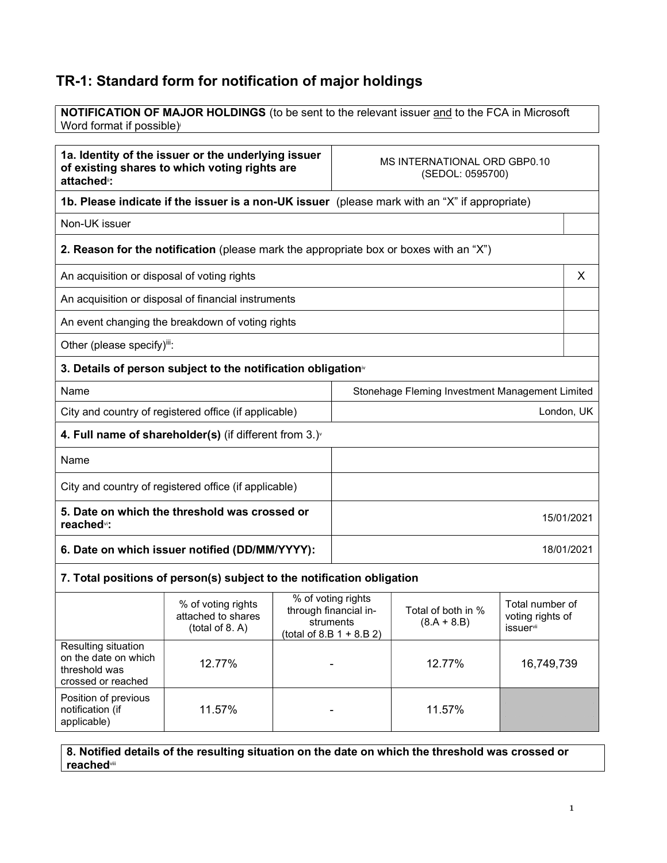## TR-1: Standard form for notification of major holdings

NOTIFICATION OF MAJOR HOLDINGS (to be sent to the relevant issuer and to the FCA in Microsoft Word format if possible) i

| 1a. Identity of the issuer or the underlying issuer<br>of existing shares to which voting rights are<br>attached <sup>®</sup> : |                                                                                               | MS INTERNATIONAL ORD GBP0.10<br>(SEDOL: 0595700)                                    |  |                                                 |            |   |
|---------------------------------------------------------------------------------------------------------------------------------|-----------------------------------------------------------------------------------------------|-------------------------------------------------------------------------------------|--|-------------------------------------------------|------------|---|
|                                                                                                                                 | 1b. Please indicate if the issuer is a non-UK issuer (please mark with an "X" if appropriate) |                                                                                     |  |                                                 |            |   |
| Non-UK issuer                                                                                                                   |                                                                                               |                                                                                     |  |                                                 |            |   |
|                                                                                                                                 | 2. Reason for the notification (please mark the appropriate box or boxes with an "X")         |                                                                                     |  |                                                 |            |   |
| An acquisition or disposal of voting rights                                                                                     |                                                                                               |                                                                                     |  |                                                 |            | X |
|                                                                                                                                 | An acquisition or disposal of financial instruments                                           |                                                                                     |  |                                                 |            |   |
|                                                                                                                                 | An event changing the breakdown of voting rights                                              |                                                                                     |  |                                                 |            |   |
| Other (please specify)iii:                                                                                                      |                                                                                               |                                                                                     |  |                                                 |            |   |
|                                                                                                                                 | 3. Details of person subject to the notification obligation <sup>®</sup>                      |                                                                                     |  |                                                 |            |   |
| Name                                                                                                                            |                                                                                               |                                                                                     |  | Stonehage Fleming Investment Management Limited |            |   |
| City and country of registered office (if applicable)                                                                           |                                                                                               |                                                                                     |  |                                                 | London, UK |   |
|                                                                                                                                 | 4. Full name of shareholder(s) (if different from 3.) $\check{ }$                             |                                                                                     |  |                                                 |            |   |
| Name                                                                                                                            |                                                                                               |                                                                                     |  |                                                 |            |   |
|                                                                                                                                 | City and country of registered office (if applicable)                                         |                                                                                     |  |                                                 |            |   |
| 5. Date on which the threshold was crossed or<br>reached <sup>vi</sup> :                                                        |                                                                                               | 15/01/2021                                                                          |  |                                                 |            |   |
| 6. Date on which issuer notified (DD/MM/YYYY):                                                                                  |                                                                                               |                                                                                     |  |                                                 | 18/01/2021 |   |
| 7. Total positions of person(s) subject to the notification obligation                                                          |                                                                                               |                                                                                     |  |                                                 |            |   |
|                                                                                                                                 | % of voting rights                                                                            | % of voting rights<br>Total number of<br>through financial in<br>Total of both in % |  |                                                 |            |   |

|                                                                                    | % of voting rights<br>attached to shares<br>(total of 8. A) | % or voting rights<br>through financial in-<br>struments<br>(total of 8.B $1 + 8.B 2$ ) | Total of both in %<br>$(8.A + 8.B)$ | Total number of<br>voting rights of<br><i>issuer</i> <sup>vii</sup> |
|------------------------------------------------------------------------------------|-------------------------------------------------------------|-----------------------------------------------------------------------------------------|-------------------------------------|---------------------------------------------------------------------|
| Resulting situation<br>on the date on which<br>threshold was<br>crossed or reached | 12.77%                                                      |                                                                                         | 12.77%                              | 16,749,739                                                          |
| Position of previous<br>notification (if<br>applicable)                            | 11.57%                                                      |                                                                                         | 11.57%                              |                                                                     |

## 8. Notified details of the resulting situation on the date on which the threshold was crossed or reached<sup>vii</sup>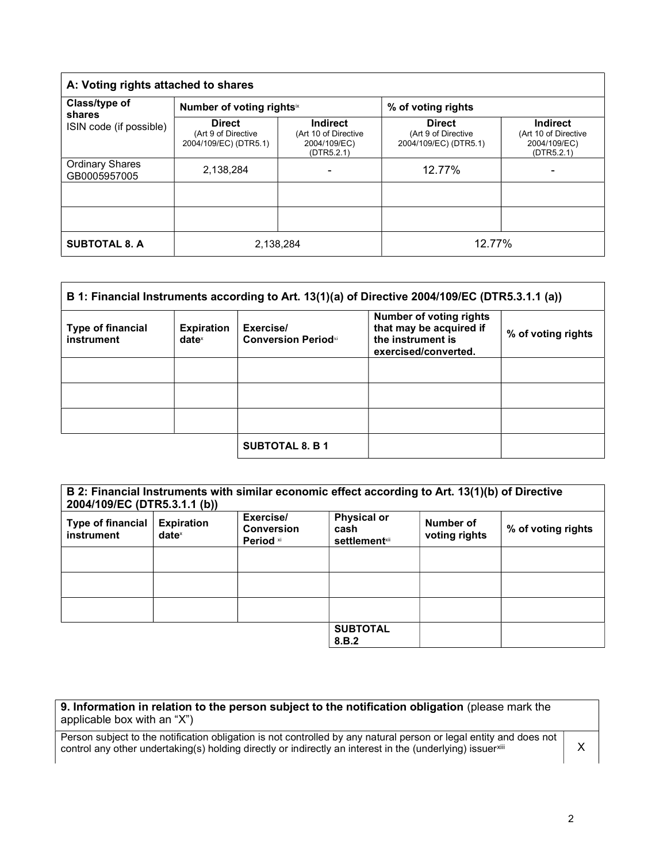| A: Voting rights attached to shares    |                                                               |                                                                       |                                                               |                                                                       |
|----------------------------------------|---------------------------------------------------------------|-----------------------------------------------------------------------|---------------------------------------------------------------|-----------------------------------------------------------------------|
| Class/type of<br>shares                | Number of voting rightsix                                     |                                                                       | % of voting rights                                            |                                                                       |
| ISIN code (if possible)                | <b>Direct</b><br>(Art 9 of Directive<br>2004/109/EC) (DTR5.1) | <b>Indirect</b><br>(Art 10 of Directive<br>2004/109/EC)<br>(DTR5.2.1) | <b>Direct</b><br>(Art 9 of Directive<br>2004/109/EC) (DTR5.1) | <b>Indirect</b><br>(Art 10 of Directive<br>2004/109/EC)<br>(DTR5.2.1) |
| <b>Ordinary Shares</b><br>GB0005957005 | 2,138,284                                                     |                                                                       | 12.77%                                                        | $\blacksquare$                                                        |
|                                        |                                                               |                                                                       |                                                               |                                                                       |
|                                        |                                                               |                                                                       |                                                               |                                                                       |
| <b>SUBTOTAL 8. A</b>                   | 2.138.284                                                     |                                                                       | 12.77%                                                        |                                                                       |

| B 1: Financial Instruments according to Art. 13(1)(a) of Directive 2004/109/EC (DTR5.3.1.1 (a)) |                                        |                                         |                                                                                                        |                    |
|-------------------------------------------------------------------------------------------------|----------------------------------------|-----------------------------------------|--------------------------------------------------------------------------------------------------------|--------------------|
| <b>Type of financial</b><br>instrument                                                          | <b>Expiration</b><br>date <sup>x</sup> | Exercise/<br><b>Conversion Periodxi</b> | <b>Number of voting rights</b><br>that may be acquired if<br>the instrument is<br>exercised/converted. | % of voting rights |
|                                                                                                 |                                        |                                         |                                                                                                        |                    |
|                                                                                                 |                                        |                                         |                                                                                                        |                    |
|                                                                                                 |                                        |                                         |                                                                                                        |                    |
|                                                                                                 |                                        | <b>SUBTOTAL 8. B 1</b>                  |                                                                                                        |                    |

| B 2: Financial Instruments with similar economic effect according to Art. 13(1)(b) of Directive |  |
|-------------------------------------------------------------------------------------------------|--|
| 2004/109/EC (DTR5.3.1.1 (b))                                                                    |  |

| <b>Type of financial</b><br>instrument | $\sqrt{ }$<br><b>Expiration</b><br>$date^{\times}$ | Exercise/<br><b>Conversion</b><br>Period xi | <b>Physical or</b><br>cash<br><b>settlement</b> xii | Number of<br>voting rights | % of voting rights |
|----------------------------------------|----------------------------------------------------|---------------------------------------------|-----------------------------------------------------|----------------------------|--------------------|
|                                        |                                                    |                                             |                                                     |                            |                    |
|                                        |                                                    |                                             |                                                     |                            |                    |
|                                        |                                                    |                                             |                                                     |                            |                    |
|                                        |                                                    |                                             | <b>SUBTOTAL</b><br>8.B.2                            |                            |                    |

9. Information in relation to the person subject to the notification obligation (please mark the applicable box with an "X")

Person subject to the notification obligation is not controlled by any natural person or legal entity and does not control any other undertaking(s) holding directly or indirectly an interest in the (underlying) issuerxili **X** 

2